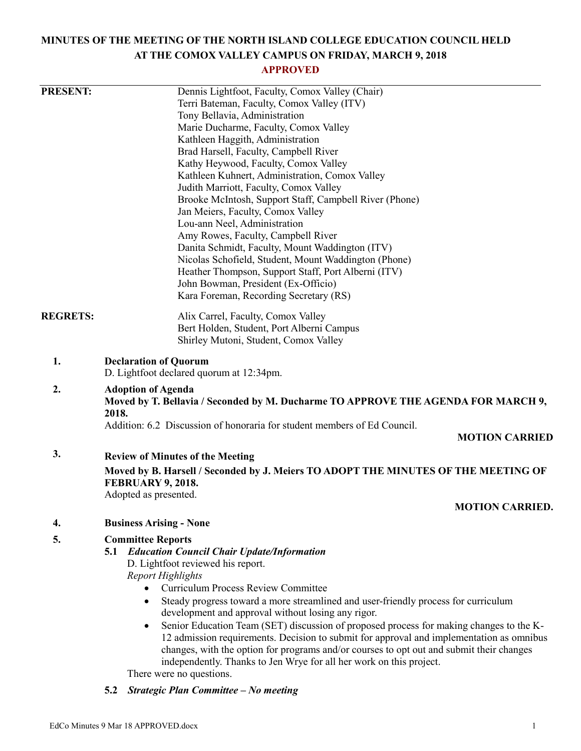# **MINUTES OF THE MEETING OF THE NORTH ISLAND COLLEGE EDUCATION COUNCIL HELD AT THE COMOX VALLEY CAMPUS ON FRIDAY, MARCH 9, 2018**

## **APPROVED**

| <b>PRESENT:</b> | Dennis Lightfoot, Faculty, Comox Valley (Chair)                                                      |
|-----------------|------------------------------------------------------------------------------------------------------|
|                 | Terri Bateman, Faculty, Comox Valley (ITV)                                                           |
|                 | Tony Bellavia, Administration                                                                        |
|                 | Marie Ducharme, Faculty, Comox Valley                                                                |
|                 | Kathleen Haggith, Administration                                                                     |
|                 | Brad Harsell, Faculty, Campbell River                                                                |
|                 | Kathy Heywood, Faculty, Comox Valley                                                                 |
|                 | Kathleen Kuhnert, Administration, Comox Valley                                                       |
|                 | Judith Marriott, Faculty, Comox Valley                                                               |
|                 | Brooke McIntosh, Support Staff, Campbell River (Phone)                                               |
|                 | Jan Meiers, Faculty, Comox Valley                                                                    |
|                 | Lou-ann Neel, Administration                                                                         |
|                 | Amy Rowes, Faculty, Campbell River                                                                   |
|                 | Danita Schmidt, Faculty, Mount Waddington (ITV)                                                      |
|                 | Nicolas Schofield, Student, Mount Waddington (Phone)                                                 |
|                 | Heather Thompson, Support Staff, Port Alberni (ITV)                                                  |
|                 | John Bowman, President (Ex-Officio)                                                                  |
|                 | Kara Foreman, Recording Secretary (RS)                                                               |
| <b>REGRETS:</b> | Alix Carrel, Faculty, Comox Valley                                                                   |
|                 | Bert Holden, Student, Port Alberni Campus                                                            |
|                 | Shirley Mutoni, Student, Comox Valley                                                                |
| 1.              | <b>Declaration of Quorum</b>                                                                         |
|                 | D. Lightfoot declared quorum at 12:34pm.                                                             |
| 2.              | <b>Adoption of Agenda</b>                                                                            |
|                 | Moved by T. Bellavia / Seconded by M. Ducharme TO APPROVE THE AGENDA FOR MARCH 9,                    |
|                 | 2018.                                                                                                |
|                 | Addition: 6.2 Discussion of honoraria for student members of Ed Council.                             |
|                 | <b>MOTION CARRIED</b>                                                                                |
| 3.              | <b>Review of Minutes of the Meeting</b>                                                              |
|                 | Moved by B. Harsell / Seconded by J. Meiers TO ADOPT THE MINUTES OF THE MEETING OF                   |
|                 | FEBRUARY 9, 2018.                                                                                    |
|                 | Adopted as presented.                                                                                |
|                 | <b>MOTION CARRIED.</b>                                                                               |
| 4.              | <b>Business Arising - None</b>                                                                       |
| 5.              | <b>Committee Reports</b>                                                                             |
|                 | <b>5.1 Education Council Chair Update/Information</b>                                                |
|                 | D. Lightfoot reviewed his report.                                                                    |
|                 | <b>Report Highlights</b>                                                                             |
|                 | <b>Curriculum Process Review Committee</b><br>$\bullet$                                              |
|                 | Steady progress toward a more streamlined and user-friendly process for curriculum<br>$\bullet$      |
|                 | development and approval without losing any rigor.                                                   |
|                 | Senior Education Team (SET) discussion of proposed process for making changes to the K-<br>$\bullet$ |
|                 | 12 admission requirements. Decision to submit for approval and implementation as omnibus             |
|                 | changes, with the option for programs and/or courses to opt out and submit their changes             |
|                 | independently. Thanks to Jen Wrye for all her work on this project.                                  |
|                 | There were no questions.                                                                             |

**5.2** *Strategic Plan Committee – No meeting*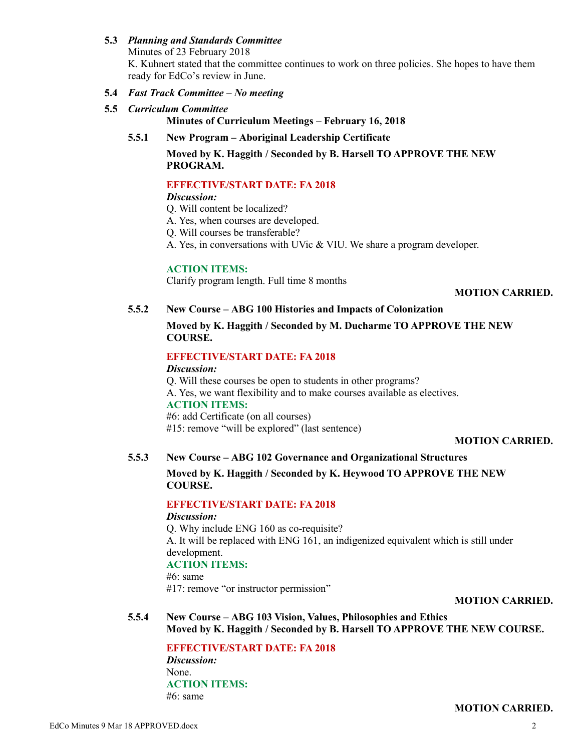### **5.3** *Planning and Standards Committee*

Minutes of 23 February 2018 K. Kuhnert stated that the committee continues to work on three policies. She hopes to have them ready for EdCo's review in June.

#### **5.4** *Fast Track Committee – No meeting*

**5.5** *Curriculum Committee*

**Minutes of Curriculum Meetings – February 16, 2018**

**5.5.1 New Program – Aboriginal Leadership Certificate**

## **Moved by K. Haggith / Seconded by B. Harsell TO APPROVE THE NEW PROGRAM.**

## **EFFECTIVE/START DATE: FA 2018**

#### *Discussion:*

- Q. Will content be localized?
- A. Yes, when courses are developed.
- Q. Will courses be transferable?
- A. Yes, in conversations with UVic & VIU. We share a program developer.

#### **ACTION ITEMS:**

Clarify program length. Full time 8 months

#### **MOTION CARRIED.**

## **5.5.2 New Course – ABG 100 Histories and Impacts of Colonization**

**Moved by K. Haggith / Seconded by M. Ducharme TO APPROVE THE NEW COURSE.**

## **EFFECTIVE/START DATE: FA 2018**

#### *Discussion:*

Q. Will these courses be open to students in other programs? A. Yes, we want flexibility and to make courses available as electives. **ACTION ITEMS:** #6: add Certificate (on all courses) #15: remove "will be explored" (last sentence)

#### **MOTION CARRIED.**

#### **5.5.3 New Course – ABG 102 Governance and Organizational Structures**

**Moved by K. Haggith / Seconded by K. Heywood TO APPROVE THE NEW COURSE.**

## **EFFECTIVE/START DATE: FA 2018**

#### *Discussion:*

Q. Why include ENG 160 as co-requisite? A. It will be replaced with ENG 161, an indigenized equivalent which is still under development. **ACTION ITEMS:**  $#6$ : same

#17: remove "or instructor permission"

## **MOTION CARRIED.**

**5.5.4 New Course – ABG 103 Vision, Values, Philosophies and Ethics Moved by K. Haggith / Seconded by B. Harsell TO APPROVE THE NEW COURSE.**

**EFFECTIVE/START DATE: FA 2018** *Discussion:* None. **ACTION ITEMS:**  $#6$ : same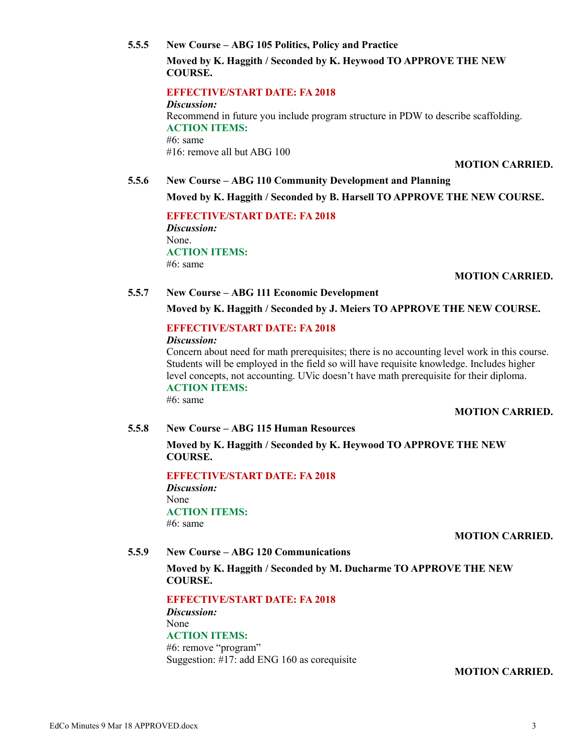## **5.5.5 New Course – ABG 105 Politics, Policy and Practice**

**Moved by K. Haggith / Seconded by K. Heywood TO APPROVE THE NEW COURSE.**

## **EFFECTIVE/START DATE: FA 2018**

*Discussion:* Recommend in future you include program structure in PDW to describe scaffolding. **ACTION ITEMS:** #6: same #16: remove all but ABG 100

**MOTION CARRIED.**

## **5.5.6 New Course – ABG 110 Community Development and Planning Moved by K. Haggith / Seconded by B. Harsell TO APPROVE THE NEW COURSE.**

**EFFECTIVE/START DATE: FA 2018** *Discussion:* None. **ACTION ITEMS:** #6: same

## **MOTION CARRIED.**

### **5.5.7 New Course – ABG 111 Economic Development**

### **Moved by K. Haggith / Seconded by J. Meiers TO APPROVE THE NEW COURSE.**

## **EFFECTIVE/START DATE: FA 2018**

*Discussion:*

Concern about need for math prerequisites; there is no accounting level work in this course. Students will be employed in the field so will have requisite knowledge. Includes higher level concepts, not accounting. UVic doesn't have math prerequisite for their diploma. **ACTION ITEMS:**

#6: same

## **MOTION CARRIED.**

## **5.5.8 New Course – ABG 115 Human Resources**

**Moved by K. Haggith / Seconded by K. Heywood TO APPROVE THE NEW COURSE.**

**EFFECTIVE/START DATE: FA 2018** *Discussion:* None **ACTION ITEMS:** #6: same

## **MOTION CARRIED.**

## **5.5.9 New Course – ABG 120 Communications**

**Moved by K. Haggith / Seconded by M. Ducharme TO APPROVE THE NEW COURSE.**

**EFFECTIVE/START DATE: FA 2018** *Discussion:* None **ACTION ITEMS:** #6: remove "program" Suggestion: #17: add ENG 160 as corequisite

## **MOTION CARRIED.**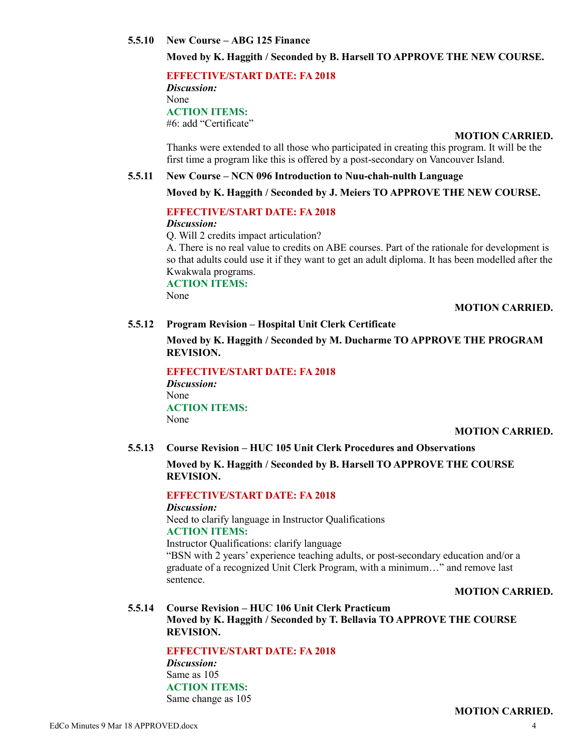#### **5.5.10 New Course – ABG 125 Finance**

## **Moved by K. Haggith / Seconded by B. Harsell TO APPROVE THE NEW COURSE.**

**EFFECTIVE/START DATE: FA 2018** *Discussion:* None **ACTION ITEMS:** #6: add "Certificate"

#### **MOTION CARRIED.**

Thanks were extended to all those who participated in creating this program. It will be the first time a program like this is offered by a post-secondary on Vancouver Island.

#### **5.5.11 New Course – NCN 096 Introduction to Nuu-chah-nulth Language**

#### **Moved by K. Haggith / Seconded by J. Meiers TO APPROVE THE NEW COURSE.**

#### **EFFECTIVE/START DATE: FA 2018**

*Discussion:*

Q. Will 2 credits impact articulation?

A. There is no real value to credits on ABE courses. Part of the rationale for development is so that adults could use it if they want to get an adult diploma. It has been modelled after the Kwakwala programs.

**ACTION ITEMS:**

None

#### **MOTION CARRIED.**

#### **5.5.12 Program Revision – Hospital Unit Clerk Certificate**

**Moved by K. Haggith / Seconded by M. Ducharme TO APPROVE THE PROGRAM REVISION.**

**EFFECTIVE/START DATE: FA 2018**

*Discussion:* None **ACTION ITEMS:** None

#### **MOTION CARRIED.**

**5.5.13 Course Revision – HUC 105 Unit Clerk Procedures and Observations**

**Moved by K. Haggith / Seconded by B. Harsell TO APPROVE THE COURSE REVISION.**

### **EFFECTIVE/START DATE: FA 2018**

*Discussion:*

Need to clarify language in Instructor Qualifications **ACTION ITEMS:**

Instructor Qualifications: clarify language

"BSN with 2 years' experience teaching adults, or post-secondary education and/or a graduate of a recognized Unit Clerk Program, with a minimum…" and remove last sentence.

#### **MOTION CARRIED.**

### **5.5.14 Course Revision – HUC 106 Unit Clerk Practicum Moved by K. Haggith / Seconded by T. Bellavia TO APPROVE THE COURSE REVISION.**

**EFFECTIVE/START DATE: FA 2018**

*Discussion:* Same as 105 **ACTION ITEMS:** Same change as 105